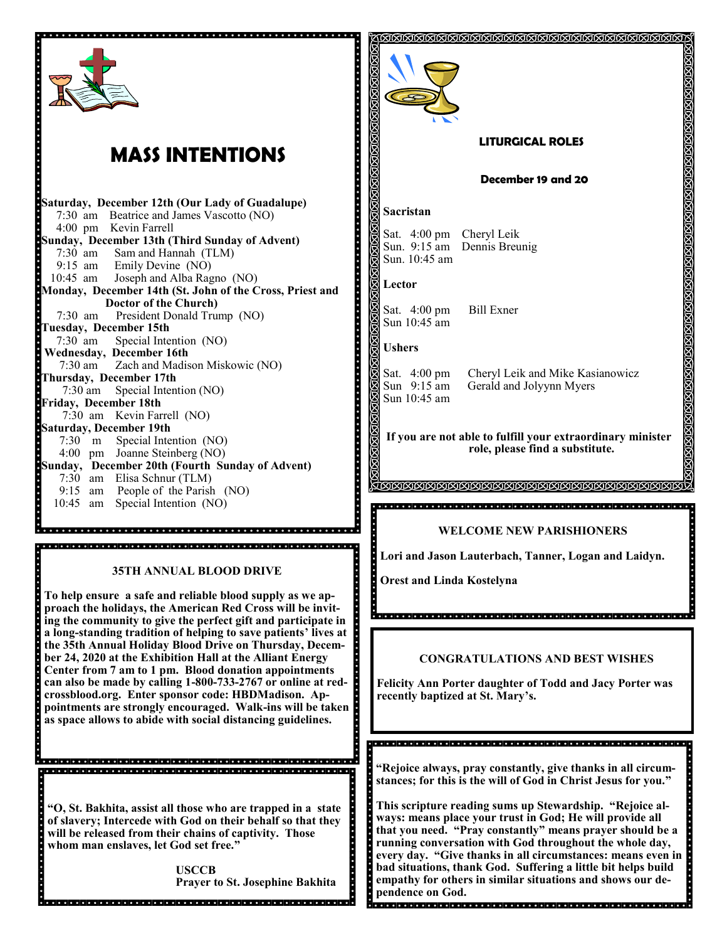| .                                                                         |  |  |
|---------------------------------------------------------------------------|--|--|
| <b>MASS INTENTIONS</b>                                                    |  |  |
| Saturday, December 12th (Our Lady of Guadalupe)                           |  |  |
| 7:30 am Beatrice and James Vascotto (NO)                                  |  |  |
| 4:00 pm Kevin Farrell                                                     |  |  |
| Sunday, December 13th (Third Sunday of Advent)                            |  |  |
| 7:30 am Sam and Hannah (TLM)                                              |  |  |
| 9:15 am Emily Devine (NO)                                                 |  |  |
| 10:45 am Joseph and Alba Ragno (NO)                                       |  |  |
| Monday, December 14th (St. John of the Cross, Priest and                  |  |  |
| Doctor of the Church)<br>President Donald Trump (NO)<br>$7:30 \text{ am}$ |  |  |
| <b>Tuesday, December 15th</b>                                             |  |  |
|                                                                           |  |  |
| 7:30 am Special Intention (NO)<br>Wednesday, December 16th                |  |  |
| 7:30 am Zach and Madison Miskowic (NO)                                    |  |  |
| Thursday, December 17th                                                   |  |  |
| 7:30 am Special Intention (NO)                                            |  |  |
| Friday, December 18th                                                     |  |  |
| 7:30 am Kevin Farrell (NO)                                                |  |  |
| <b>Saturday, December 19th</b>                                            |  |  |
| 7:30 m Special Intention (NO)                                             |  |  |
| 4:00 pm Joanne Steinberg (NO)                                             |  |  |
| Sunday, December 20th (Fourth Sunday of Advent)                           |  |  |
| 7:30 am Elisa Schnur (TLM)                                                |  |  |
| 9:15 am People of the Parish (NO)<br>10:45 am Special Intention (NO)      |  |  |
|                                                                           |  |  |
|                                                                           |  |  |
|                                                                           |  |  |
|                                                                           |  |  |

#### **35TH ANNUAL BLOOD DRIVE**

**To help ensure a safe and reliable blood supply as we approach the holidays, the American Red Cross will be inviting the community to give the perfect gift and participate in a long-standing tradition of helping to save patients' lives at the 35th Annual Holiday Blood Drive on Thursday, December 24, 2020 at the Exhibition Hall at the Alliant Energy Center from 7 am to 1 pm. Blood donation appointments can also be made by calling 1-800-733-2767 or online at redcrossblood.org. Enter sponsor code: HBDMadison. Appointments are strongly encouraged. Walk-ins will be taken as space allows to abide with social distancing guidelines.** 

**"O, St. Bakhita, assist all those who are trapped in a state of slavery; Intercede with God on their behalf so that they will be released from their chains of captivity. Those whom man enslaves, let God set free."**

> **USCCB Prayer to St. Josephine Bakhita**



#### **LITURGICAL ROLES**

#### **December 19 and 20**

#### **Sacristan**

Sun. 10:45 am

Sat. 4:00 pm Cheryl Leik Sun. 9:15 am Dennis Breunig

**Lector** 

Sat. 4:00 pm Bill Exner Sun 10:45 am

#### **Ushers**

Sun 10:45 am

Sat. 4:00 pm Cheryl Leik and Mike Kasianowicz Sun 9:15 am Gerald and Jolyynn Myers

**If you are not able to fulfill your extraordinary minister role, please find a substitute.** 

#### **WELCOME NEW PARISHIONERS**

**Lori and Jason Lauterbach, Tanner, Logan and Laidyn.**

**Orest and Linda Kostelyna**

#### **CONGRATULATIONS AND BEST WISHES**

**Felicity Ann Porter daughter of Todd and Jacy Porter was recently baptized at St. Mary's.**

**"Rejoice always, pray constantly, give thanks in all circumstances; for this is the will of God in Christ Jesus for you."**

**This scripture reading sums up Stewardship. "Rejoice always: means place your trust in God; He will provide all that you need. "Pray constantly" means prayer should be a running conversation with God throughout the whole day, every day. "Give thanks in all circumstances: means even in bad situations, thank God. Suffering a little bit helps build empathy for others in similar situations and shows our dependence on God.**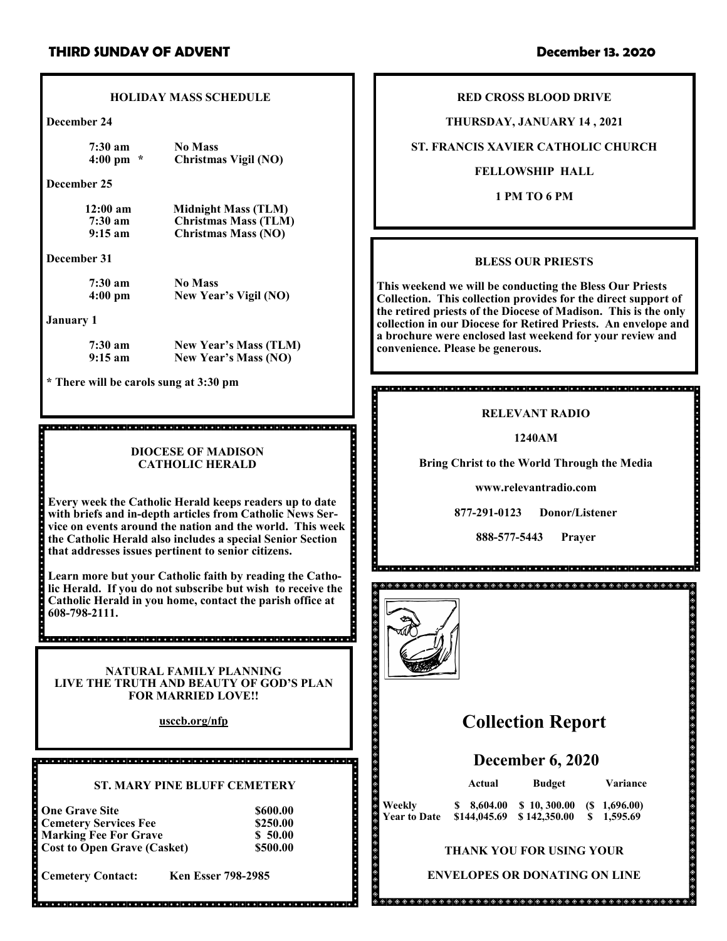#### **HOLIDAY MASS SCHEDULE**

**December 24**

**7:30 am No Mass**

**4:00 pm \* Christmas Vigil (NO)**

**December 25**

**12:00 am Midnight Mass (TLM)**<br>**7:30 am Christmas Mass (TLM) 7:30 am Christmas Mass (TLM)**

**December 31**

**7:30 am** No Mass<br>**4:00 pm** New Yea **4:00 pm New Year's Vigil (NO)**

**9:15 am Christmas Mass (NO)**

#### **January 1**

**7:30 am New Year's Mass (TLM) 9:15 am New Year's Mass (NO)**

**\* There will be carols sung at 3:30 pm**

#### **DIOCESE OF MADISON CATHOLIC HERALD**

**Every week the Catholic Herald keeps readers up to date with briefs and in-depth articles from Catholic News Service on events around the nation and the world. This week the Catholic Herald also includes a special Senior Section that addresses issues pertinent to senior citizens.**

**Learn more but your Catholic faith by reading the Catholic Herald. If you do not subscribe but wish to receive the Catholic Herald in you home, contact the parish office at 608-798-2111.**

**NATURAL FAMILY PLANNING LIVE THE TRUTH AND BEAUTY OF GOD'S PLAN FOR MARRIED LOVE!!**

**usccb.org/nfp**

#### **ST. MARY PINE BLUFF CEMETERY**

| <b>One Grave Site</b>              | \$600.00 |
|------------------------------------|----------|
| <b>Cemetery Services Fee</b>       | \$250.00 |
| <b>Marking Fee For Grave</b>       | \$50.00  |
| <b>Cost to Open Grave (Casket)</b> | \$500.00 |

**Cemetery Contact: Ken Esser 798-2985**

**RED CROSS BLOOD DRIVE**

**THURSDAY, JANUARY 14 , 2021**

#### **ST. FRANCIS XAVIER CATHOLIC CHURCH**

#### **FELLOWSHIP HALL**

**1 PM TO 6 PM**

### **BLESS OUR PRIESTS**

**This weekend we will be conducting the Bless Our Priests Collection. This collection provides for the direct support of the retired priests of the Diocese of Madison. This is the only collection in our Diocese for Retired Priests. An envelope and a brochure were enclosed last weekend for your review and convenience. Please be generous.**

## 

## **RELEVANT RADIO**

**1240AM**

**Bring Christ to the World Through the Media**

**www.relevantradio.com**

**877-291-0123 Donor/Listener**

**888-577-5443 Prayer**



# **Collection Report**

## **December 6, 2020**

 $\theta$  ,  $\theta$  ,  $\theta$  ,  $\theta$  ,  $\theta$  ,  $\theta$  ,  $\theta$  ,  $\theta$  ,  $\theta$  ,  $\theta$  ,  $\theta$  ,  $\theta$  ,  $\theta$  ,  $\theta$  ,  $\theta$  ,  $\theta$  ,  $\theta$ **Actual Budget Variance Weekly \$ 8,604.00 \$ 10, 300.00 (\$ 1,696.00)**   $$144,045.69 \quad $142,350.00$ 

# **THANK YOU FOR USING YOUR**

**ENVELOPES OR DONATING ON LINE**